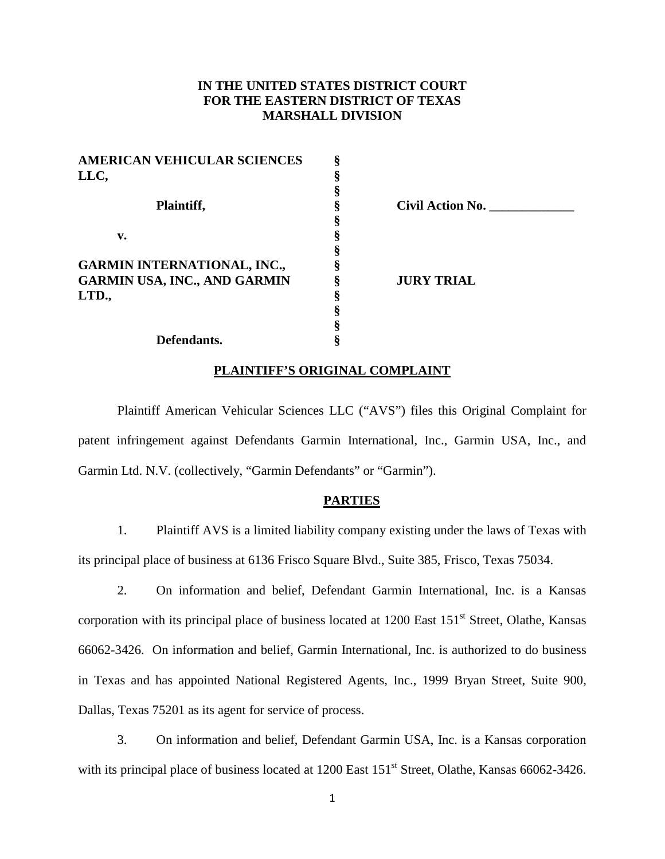# **IN THE UNITED STATES DISTRICT COURT FOR THE EASTERN DISTRICT OF TEXAS MARSHALL DIVISION**

| <b>AMERICAN VEHICULAR SCIENCES</b>  |                         |  |
|-------------------------------------|-------------------------|--|
| LLC,                                |                         |  |
|                                     |                         |  |
| Plaintiff,                          | <b>Civil Action No.</b> |  |
|                                     |                         |  |
| v.                                  |                         |  |
|                                     |                         |  |
| <b>GARMIN INTERNATIONAL, INC.,</b>  |                         |  |
| <b>GARMIN USA, INC., AND GARMIN</b> | <b>JURY TRIAL</b>       |  |
| LTD.,                               |                         |  |
|                                     |                         |  |
|                                     |                         |  |
| Defendants.                         |                         |  |
|                                     |                         |  |

### **PLAINTIFF'S ORIGINAL COMPLAINT**

Plaintiff American Vehicular Sciences LLC ("AVS") files this Original Complaint for patent infringement against Defendants Garmin International, Inc., Garmin USA, Inc., and Garmin Ltd. N.V. (collectively, "Garmin Defendants" or "Garmin").

### **PARTIES**

1. Plaintiff AVS is a limited liability company existing under the laws of Texas with its principal place of business at 6136 Frisco Square Blvd., Suite 385, Frisco, Texas 75034.

2. On information and belief, Defendant Garmin International, Inc. is a Kansas corporation with its principal place of business located at 1200 East 151<sup>st</sup> Street, Olathe, Kansas 66062-3426. On information and belief, Garmin International, Inc. is authorized to do business in Texas and has appointed National Registered Agents, Inc., 1999 Bryan Street, Suite 900, Dallas, Texas 75201 as its agent for service of process.

3. On information and belief, Defendant Garmin USA, Inc. is a Kansas corporation with its principal place of business located at 1200 East 151<sup>st</sup> Street, Olathe, Kansas 66062-3426.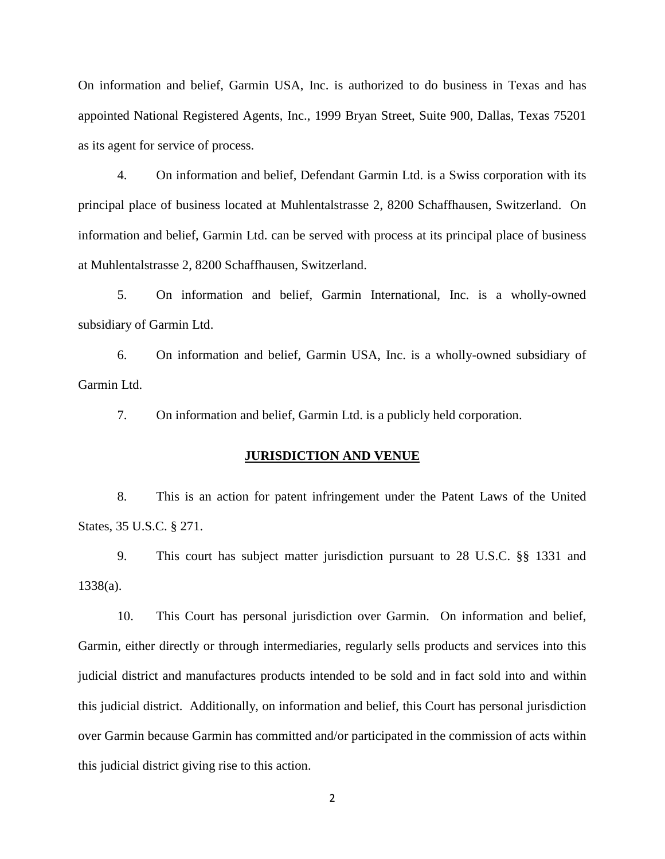On information and belief, Garmin USA, Inc. is authorized to do business in Texas and has appointed National Registered Agents, Inc., 1999 Bryan Street, Suite 900, Dallas, Texas 75201 as its agent for service of process.

4. On information and belief, Defendant Garmin Ltd. is a Swiss corporation with its principal place of business located at Muhlentalstrasse 2, 8200 Schaffhausen, Switzerland. On information and belief, Garmin Ltd. can be served with process at its principal place of business at Muhlentalstrasse 2, 8200 Schaffhausen, Switzerland.

5. On information and belief, Garmin International, Inc. is a wholly-owned subsidiary of Garmin Ltd.

6. On information and belief, Garmin USA, Inc. is a wholly-owned subsidiary of Garmin Ltd.

7. On information and belief, Garmin Ltd. is a publicly held corporation.

### **JURISDICTION AND VENUE**

8. This is an action for patent infringement under the Patent Laws of the United States, 35 U.S.C. § 271.

9. This court has subject matter jurisdiction pursuant to 28 U.S.C. §§ 1331 and 1338(a).

10. This Court has personal jurisdiction over Garmin. On information and belief, Garmin, either directly or through intermediaries, regularly sells products and services into this judicial district and manufactures products intended to be sold and in fact sold into and within this judicial district. Additionally, on information and belief, this Court has personal jurisdiction over Garmin because Garmin has committed and/or participated in the commission of acts within this judicial district giving rise to this action.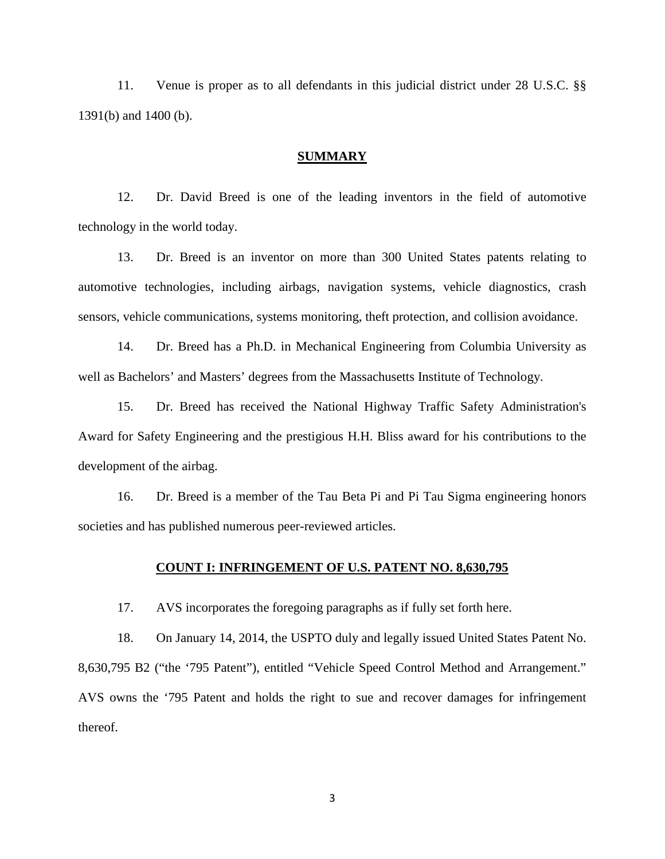11. Venue is proper as to all defendants in this judicial district under 28 U.S.C. §§ 1391(b) and 1400 (b).

#### **SUMMARY**

12. Dr. David Breed is one of the leading inventors in the field of automotive technology in the world today.

13. Dr. Breed is an inventor on more than 300 United States patents relating to automotive technologies, including airbags, navigation systems, vehicle diagnostics, crash sensors, vehicle communications, systems monitoring, theft protection, and collision avoidance.

14. Dr. Breed has a Ph.D. in Mechanical Engineering from Columbia University as well as Bachelors' and Masters' degrees from the Massachusetts Institute of Technology.

15. Dr. Breed has received the National Highway Traffic Safety Administration's Award for Safety Engineering and the prestigious H.H. Bliss award for his contributions to the development of the airbag.

16. Dr. Breed is a member of the Tau Beta Pi and Pi Tau Sigma engineering honors societies and has published numerous peer-reviewed articles.

#### **COUNT I: INFRINGEMENT OF U.S. PATENT NO. 8,630,795**

17. AVS incorporates the foregoing paragraphs as if fully set forth here.

18. On January 14, 2014, the USPTO duly and legally issued United States Patent No. 8,630,795 B2 ("the '795 Patent"), entitled "Vehicle Speed Control Method and Arrangement." AVS owns the '795 Patent and holds the right to sue and recover damages for infringement thereof.

3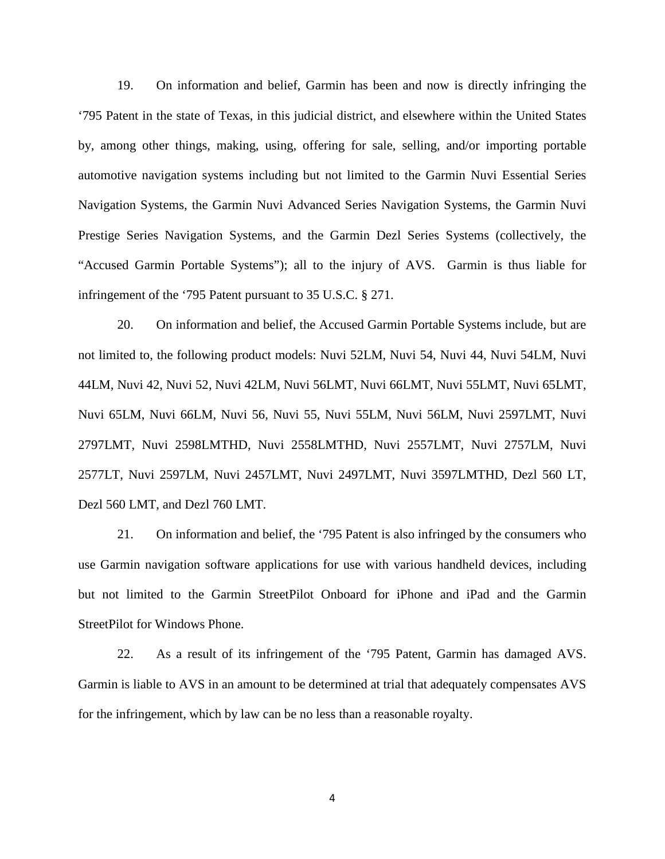19. On information and belief, Garmin has been and now is directly infringing the '795 Patent in the state of Texas, in this judicial district, and elsewhere within the United States by, among other things, making, using, offering for sale, selling, and/or importing portable automotive navigation systems including but not limited to the Garmin Nuvi Essential Series Navigation Systems, the Garmin Nuvi Advanced Series Navigation Systems, the Garmin Nuvi Prestige Series Navigation Systems, and the Garmin Dezl Series Systems (collectively, the "Accused Garmin Portable Systems"); all to the injury of AVS. Garmin is thus liable for infringement of the '795 Patent pursuant to 35 U.S.C. § 271.

20. On information and belief, the Accused Garmin Portable Systems include, but are not limited to, the following product models: Nuvi 52LM, Nuvi 54, Nuvi 44, Nuvi 54LM, Nuvi 44LM, Nuvi 42, Nuvi 52, Nuvi 42LM, Nuvi 56LMT, Nuvi 66LMT, Nuvi 55LMT, Nuvi 65LMT, Nuvi 65LM, Nuvi 66LM, Nuvi 56, Nuvi 55, Nuvi 55LM, Nuvi 56LM, Nuvi 2597LMT, Nuvi 2797LMT, Nuvi 2598LMTHD, Nuvi 2558LMTHD, Nuvi 2557LMT, Nuvi 2757LM, Nuvi 2577LT, Nuvi 2597LM, Nuvi 2457LMT, Nuvi 2497LMT, Nuvi 3597LMTHD, Dezl 560 LT, Dezl 560 LMT, and Dezl 760 LMT.

21. On information and belief, the '795 Patent is also infringed by the consumers who use Garmin navigation software applications for use with various handheld devices, including but not limited to the Garmin StreetPilot Onboard for iPhone and iPad and the Garmin StreetPilot for Windows Phone.

22. As a result of its infringement of the '795 Patent, Garmin has damaged AVS. Garmin is liable to AVS in an amount to be determined at trial that adequately compensates AVS for the infringement, which by law can be no less than a reasonable royalty.

4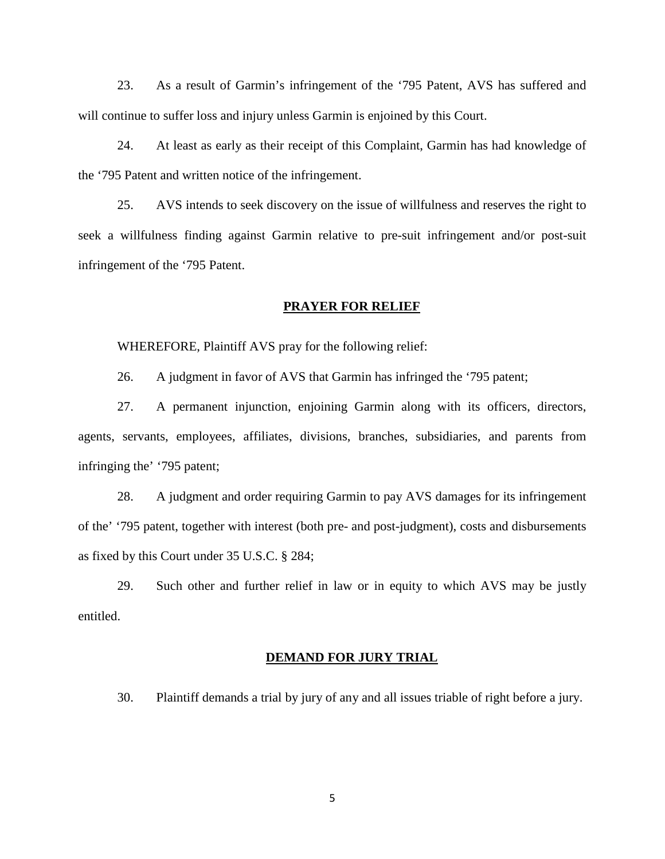23. As a result of Garmin's infringement of the '795 Patent, AVS has suffered and will continue to suffer loss and injury unless Garmin is enjoined by this Court.

24. At least as early as their receipt of this Complaint, Garmin has had knowledge of the '795 Patent and written notice of the infringement.

25. AVS intends to seek discovery on the issue of willfulness and reserves the right to seek a willfulness finding against Garmin relative to pre-suit infringement and/or post-suit infringement of the '795 Patent.

### **PRAYER FOR RELIEF**

WHEREFORE, Plaintiff AVS pray for the following relief:

26. A judgment in favor of AVS that Garmin has infringed the '795 patent;

27. A permanent injunction, enjoining Garmin along with its officers, directors, agents, servants, employees, affiliates, divisions, branches, subsidiaries, and parents from infringing the' '795 patent;

28. A judgment and order requiring Garmin to pay AVS damages for its infringement of the' '795 patent, together with interest (both pre- and post-judgment), costs and disbursements as fixed by this Court under 35 U.S.C. § 284;

29. Such other and further relief in law or in equity to which AVS may be justly entitled.

### **DEMAND FOR JURY TRIAL**

30. Plaintiff demands a trial by jury of any and all issues triable of right before a jury.

5